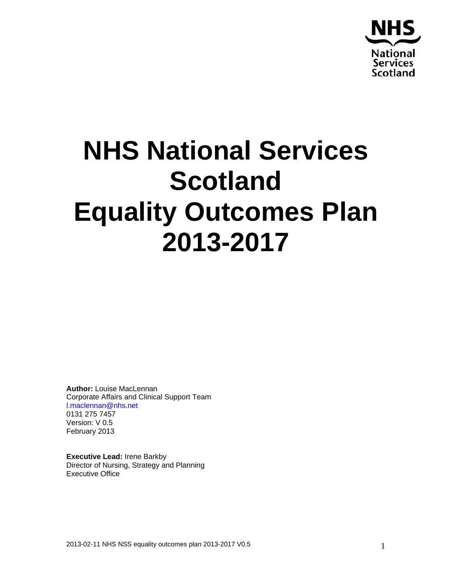

# **NHS National Services Scotland Equality Outcomes Plan 2013-2017**

**Author:** Louise MacLennan Corporate Affairs and Clinical Support Team l.maclennan@nhs.net 0131 275 7457 Version: V 0.5 February 2013

**Executive Lead:** Irene Barkby Director of Nursing, Strategy and Planning Executive Office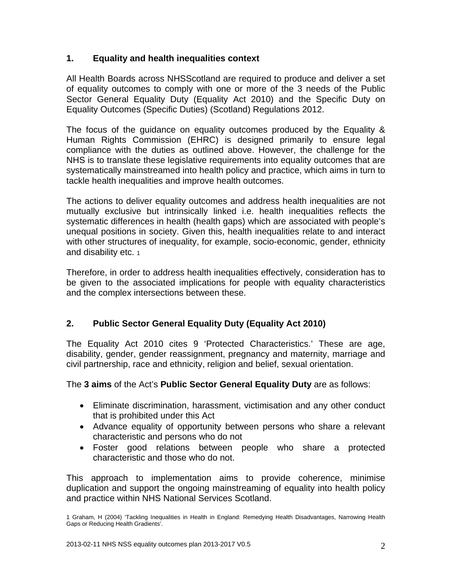# **1. Equality and health inequalities context**

All Health Boards across NHSScotland are required to produce and deliver a set of equality outcomes to comply with one or more of the 3 needs of the Public Sector General Equality Duty (Equality Act 2010) and the Specific Duty on Equality Outcomes (Specific Duties) (Scotland) Regulations 2012.

The focus of the guidance on equality outcomes produced by the Equality & Human Rights Commission (EHRC) is designed primarily to ensure legal compliance with the duties as outlined above. However, the challenge for the NHS is to translate these legislative requirements into equality outcomes that are systematically mainstreamed into health policy and practice, which aims in turn to tackle health inequalities and improve health outcomes.

The actions to deliver equality outcomes and address health inequalities are not mutually exclusive but intrinsically linked i.e. health inequalities reflects the systematic differences in health (health gaps) which are associated with people's unequal positions in society. Given this, health inequalities relate to and interact with other structures of inequality, for example, socio-economic, gender, ethnicity and disability etc. 1

Therefore, in order to address health inequalities effectively, consideration has to be given to the associated implications for people with equality characteristics and the complex intersections between these.

# **2. Public Sector General Equality Duty (Equality Act 2010)**

The Equality Act 2010 cites 9 'Protected Characteristics.' These are age, disability, gender, gender reassignment, pregnancy and maternity, marriage and civil partnership, race and ethnicity, religion and belief, sexual orientation.

The **3 aims** of the Act's **Public Sector General Equality Duty** are as follows:

- Eliminate discrimination, harassment, victimisation and any other conduct that is prohibited under this Act
- Advance equality of opportunity between persons who share a relevant characteristic and persons who do not
- Foster good relations between people who share a protected characteristic and those who do not.

This approach to implementation aims to provide coherence, minimise duplication and support the ongoing mainstreaming of equality into health policy and practice within NHS National Services Scotland.

<sup>1</sup> Graham, H (2004) 'Tackling Inequalities in Health in England: Remedying Health Disadvantages, Narrowing Health Gaps or Reducing Health Gradients'.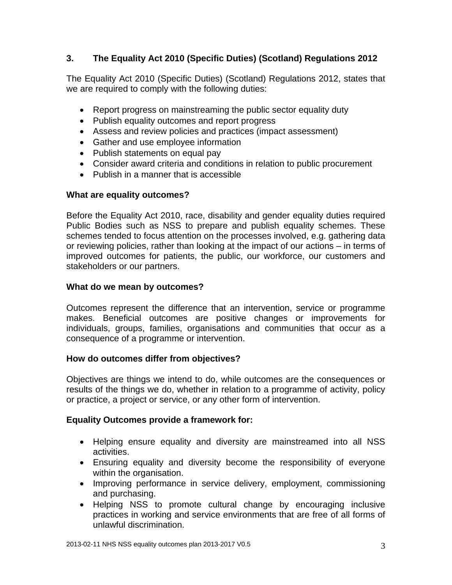# **3. The Equality Act 2010 (Specific Duties) (Scotland) Regulations 2012**

The Equality Act 2010 (Specific Duties) (Scotland) Regulations 2012, states that we are required to comply with the following duties:

- Report progress on mainstreaming the public sector equality duty
- Publish equality outcomes and report progress
- Assess and review policies and practices (impact assessment)
- Gather and use employee information
- Publish statements on equal pay
- Consider award criteria and conditions in relation to public procurement
- Publish in a manner that is accessible

#### **What are equality outcomes?**

Before the Equality Act 2010, race, disability and gender equality duties required Public Bodies such as NSS to prepare and publish equality schemes. These schemes tended to focus attention on the processes involved, e.g. gathering data or reviewing policies, rather than looking at the impact of our actions – in terms of improved outcomes for patients, the public, our workforce, our customers and stakeholders or our partners.

#### **What do we mean by outcomes?**

Outcomes represent the difference that an intervention, service or programme makes. Beneficial outcomes are positive changes or improvements for individuals, groups, families, organisations and communities that occur as a consequence of a programme or intervention.

#### **How do outcomes differ from objectives?**

Objectives are things we intend to do, while outcomes are the consequences or results of the things we do, whether in relation to a programme of activity, policy or practice, a project or service, or any other form of intervention.

#### **Equality Outcomes provide a framework for:**

- Helping ensure equality and diversity are mainstreamed into all NSS activities.
- Ensuring equality and diversity become the responsibility of everyone within the organisation.
- Improving performance in service delivery, employment, commissioning and purchasing.
- Helping NSS to promote cultural change by encouraging inclusive practices in working and service environments that are free of all forms of unlawful discrimination.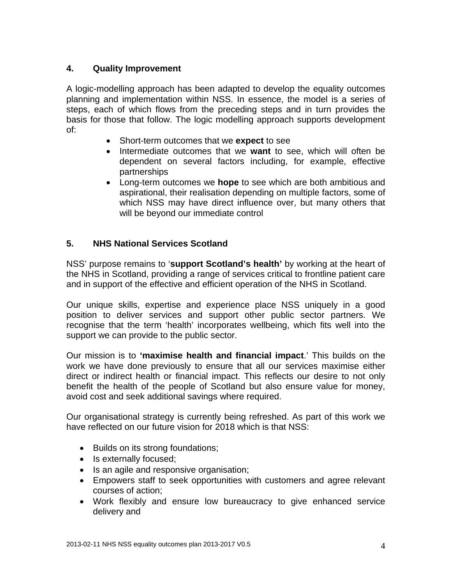# **4. Quality Improvement**

A logic-modelling approach has been adapted to develop the equality outcomes planning and implementation within NSS. In essence, the model is a series of steps, each of which flows from the preceding steps and in turn provides the basis for those that follow. The logic modelling approach supports development of:

- Short-term outcomes that we **expect** to see
- Intermediate outcomes that we **want** to see, which will often be dependent on several factors including, for example, effective partnerships
- Long-term outcomes we **hope** to see which are both ambitious and aspirational, their realisation depending on multiple factors, some of which NSS may have direct influence over, but many others that will be beyond our immediate control

# **5. NHS National Services Scotland**

NSS' purpose remains to '**support Scotland's health'** by working at the heart of the NHS in Scotland, providing a range of services critical to frontline patient care and in support of the effective and efficient operation of the NHS in Scotland.

Our unique skills, expertise and experience place NSS uniquely in a good position to deliver services and support other public sector partners. We recognise that the term 'health' incorporates wellbeing, which fits well into the support we can provide to the public sector.

Our mission is to **'maximise health and financial impact**.' This builds on the work we have done previously to ensure that all our services maximise either direct or indirect health or financial impact. This reflects our desire to not only benefit the health of the people of Scotland but also ensure value for money, avoid cost and seek additional savings where required.

Our organisational strategy is currently being refreshed. As part of this work we have reflected on our future vision for 2018 which is that NSS:

- Builds on its strong foundations;
- Is externally focused;
- Is an agile and responsive organisation;
- Empowers staff to seek opportunities with customers and agree relevant courses of action;
- Work flexibly and ensure low bureaucracy to give enhanced service delivery and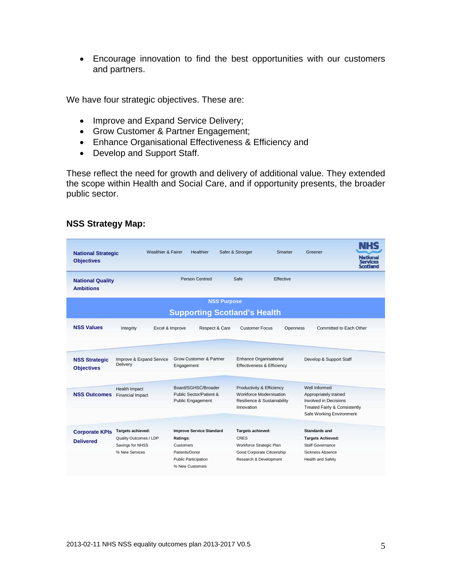• Encourage innovation to find the best opportunities with our customers and partners.

We have four strategic objectives. These are:

- Improve and Expand Service Delivery;
- Grow Customer & Partner Engagement;
- Enhance Organisational Effectiveness & Efficiency and
- Develop and Support Staff.

These reflect the need for growth and delivery of additional value. They extended the scope within Health and Social Care, and if opportunity presents, the broader public sector.

| <b>National Strategic</b><br><b>Objectives</b> | <b>Wealthier &amp; Fairer</b>               | <b>Healthier</b>                                                              | Safer & Stronger                                                                                         | Smarter   | Greener                                                                                                                             | Vationa |
|------------------------------------------------|---------------------------------------------|-------------------------------------------------------------------------------|----------------------------------------------------------------------------------------------------------|-----------|-------------------------------------------------------------------------------------------------------------------------------------|---------|
| <b>National Quality</b><br><b>Ambitions</b>    |                                             | Person Centred                                                                | Safe                                                                                                     | Effective |                                                                                                                                     |         |
| <b>NSS Purpose</b>                             |                                             |                                                                               |                                                                                                          |           |                                                                                                                                     |         |
| <b>Supporting Scotland's Health</b>            |                                             |                                                                               |                                                                                                          |           |                                                                                                                                     |         |
| <b>NSS Values</b>                              | Integrity                                   | Excel & Improve<br>Respect & Care                                             | <b>Customer Focus</b>                                                                                    | Openness  | Committed to Each Other                                                                                                             |         |
|                                                |                                             |                                                                               |                                                                                                          |           |                                                                                                                                     |         |
| <b>NSS Strategic</b><br><b>Objectives</b>      | Improve & Expand Service<br>Delivery        | Grow Customer & Partner<br>Engagement                                         | Enhance Organisational<br>Effectiveness & Efficiency                                                     |           | Develop & Support Staff                                                                                                             |         |
| <b>NSS Outcomes</b>                            | Health Impact<br><b>Financial Impact</b>    | Board/SGHSC/Broader<br>Public Sector/Patient &<br>Public Engagement           | Productivity & Efficiency<br><b>Workforce Modernisation</b><br>Resilience & Sustainability<br>Innovation |           | Well Informed<br>Appropriately trained<br><b>Involved in Decisions</b><br>Treated Fairly & Consistently<br>Safe Working Environment |         |
| <b>Corporate KPIs</b>                          | Targets achieved:<br>Quality Outcomes / LDP | <b>Improve Service Standard</b><br>Ratings:                                   | Targets achieved:<br><b>CRES</b>                                                                         |           | Standards and<br><b>Targets Achieved:</b>                                                                                           |         |
| <b>Delivered</b>                               | Savings for NHSS<br>% New Services          | Customers<br>Patients/Donor<br><b>Public Participation</b><br>% New Customers | Workforce Strategic Plan<br>Good Corporate Citizenship<br>Research & Development                         |           | Staff Governance<br>Sickness Absence<br>Health and Safety                                                                           |         |

#### **NSS Strategy Map:**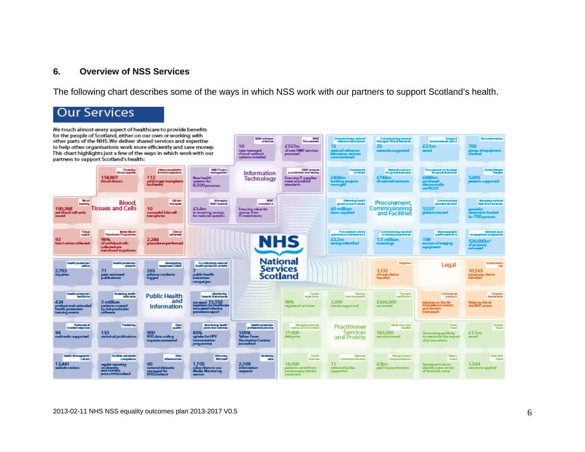#### **6. Overview of NSS Services**

The following chart describes some of the ways in which NSS work with our partners to support Scotland's health.

# **Our Services**

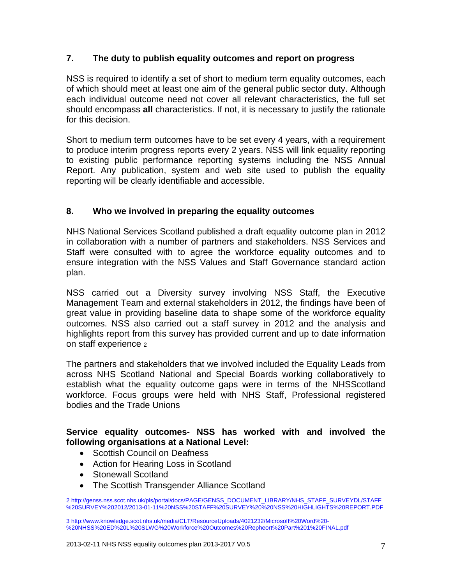# **7. The duty to publish equality outcomes and report on progress**

NSS is required to identify a set of short to medium term equality outcomes, each of which should meet at least one aim of the general public sector duty. Although each individual outcome need not cover all relevant characteristics, the full set should encompass **all** characteristics. If not, it is necessary to justify the rationale for this decision.

Short to medium term outcomes have to be set every 4 years, with a requirement to produce interim progress reports every 2 years. NSS will link equality reporting to existing public performance reporting systems including the NSS Annual Report. Any publication, system and web site used to publish the equality reporting will be clearly identifiable and accessible.

# **8. Who we involved in preparing the equality outcomes**

NHS National Services Scotland published a draft equality outcome plan in 2012 in collaboration with a number of partners and stakeholders. NSS Services and Staff were consulted with to agree the workforce equality outcomes and to ensure integration with the NSS Values and Staff Governance standard action plan.

NSS carried out a Diversity survey involving NSS Staff, the Executive Management Team and external stakeholders in 2012, the findings have been of great value in providing baseline data to shape some of the workforce equality outcomes. NSS also carried out a staff survey in 2012 and the analysis and highlights report from this survey has provided current and up to date information on staff experience 2

The partners and stakeholders that we involved included the Equality Leads from across NHS Scotland National and Special Boards working collaboratively to establish what the equality outcome gaps were in terms of the NHSScotland workforce. Focus groups were held with NHS Staff, Professional registered bodies and the Trade Unions

#### **Service equality outcomes- NSS has worked with and involved the following organisations at a National Level:**

- Scottish Council on Deafness
- Action for Hearing Loss in Scotland
- Stonewall Scotland
- The Scottish Transgender Alliance Scotland

<sup>2</sup> http://genss.nss.scot.nhs.uk/pls/portal/docs/PAGE/GENSS\_DOCUMENT\_LIBRARY/NHS\_STAFF\_SURVEYDL/STAFF %20SURVEY%202012/2013-01-11%20NSS%20STAFF%20SURVEY%20%20NSS%20HIGHLIGHTS%20REPORT.PDF

<sup>3</sup> http://www.knowledge.scot.nhs.uk/media/CLT/ResourceUploads/4021232/Microsoft%20Word%20- %20NHSS%20ED%20L%20SLWG%20Workforce%20Outcomes%20Repheort%20Part%201%20FINAL.pdf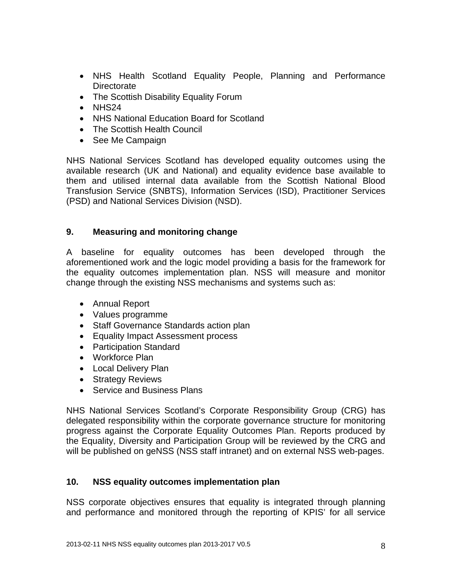- NHS Health Scotland Equality People, Planning and Performance **Directorate**
- The Scottish Disability Equality Forum
- $\bullet$  NHS24
- NHS National Education Board for Scotland
- The Scottish Health Council
- See Me Campaign

NHS National Services Scotland has developed equality outcomes using the available research (UK and National) and equality evidence base available to them and utilised internal data available from the Scottish National Blood Transfusion Service (SNBTS), Information Services (ISD), Practitioner Services (PSD) and National Services Division (NSD).

# **9. Measuring and monitoring change**

A baseline for equality outcomes has been developed through the aforementioned work and the logic model providing a basis for the framework for the equality outcomes implementation plan. NSS will measure and monitor change through the existing NSS mechanisms and systems such as:

- Annual Report
- Values programme
- Staff Governance Standards action plan
- Equality Impact Assessment process
- Participation Standard
- Workforce Plan
- Local Delivery Plan
- Strategy Reviews
- Service and Business Plans

NHS National Services Scotland's Corporate Responsibility Group (CRG) has delegated responsibility within the corporate governance structure for monitoring progress against the Corporate Equality Outcomes Plan. Reports produced by the Equality, Diversity and Participation Group will be reviewed by the CRG and will be published on geNSS (NSS staff intranet) and on external NSS web-pages.

#### **10. NSS equality outcomes implementation plan**

NSS corporate objectives ensures that equality is integrated through planning and performance and monitored through the reporting of KPIS' for all service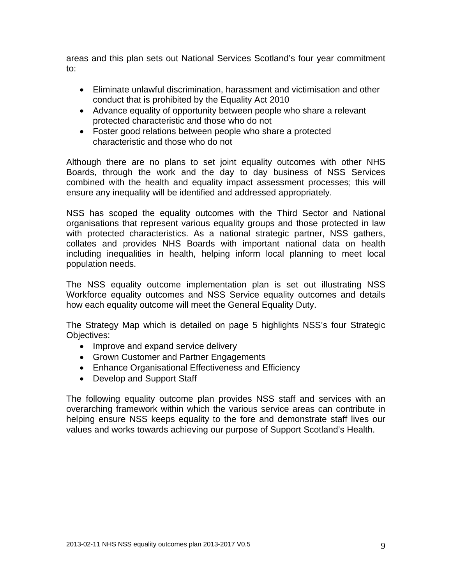areas and this plan sets out National Services Scotland's four year commitment to:

- Eliminate unlawful discrimination, harassment and victimisation and other conduct that is prohibited by the Equality Act 2010
- Advance equality of opportunity between people who share a relevant protected characteristic and those who do not
- Foster good relations between people who share a protected characteristic and those who do not

Although there are no plans to set joint equality outcomes with other NHS Boards, through the work and the day to day business of NSS Services combined with the health and equality impact assessment processes; this will ensure any inequality will be identified and addressed appropriately.

NSS has scoped the equality outcomes with the Third Sector and National organisations that represent various equality groups and those protected in law with protected characteristics. As a national strategic partner, NSS gathers, collates and provides NHS Boards with important national data on health including inequalities in health, helping inform local planning to meet local population needs.

The NSS equality outcome implementation plan is set out illustrating NSS Workforce equality outcomes and NSS Service equality outcomes and details how each equality outcome will meet the General Equality Duty.

The Strategy Map which is detailed on page 5 highlights NSS's four Strategic Objectives:

- Improve and expand service delivery
- Grown Customer and Partner Engagements
- Enhance Organisational Effectiveness and Efficiency
- Develop and Support Staff

The following equality outcome plan provides NSS staff and services with an overarching framework within which the various service areas can contribute in helping ensure NSS keeps equality to the fore and demonstrate staff lives our values and works towards achieving our purpose of Support Scotland's Health.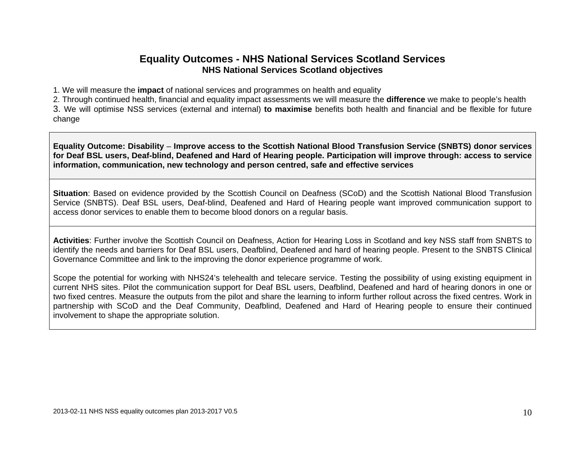# **Equality Outcomes - NHS National Services Scotland Services NHS National Services Scotland objectives**

1. We will measure the **impact** of national services and programmes on health and equality

2. Through continued health, financial and equality impact assessments we will measure the **difference** we make to people's health

3. We will optimise NSS services (external and internal) **to maximise** benefits both health and financial and be flexible for future change

**Equality Outcome: Disability** – **Improve access to the Scottish National Blood Transfusion Service (SNBTS) donor services for Deaf BSL users, Deaf-blind, Deafened and Hard of Hearing people. Participation will improve through: access to service information, communication, new technology and person centred, safe and effective services** 

**Situation**: Based on evidence provided by the Scottish Council on Deafness (SCoD) and the Scottish National Blood Transfusion Service (SNBTS). Deaf BSL users, Deaf-blind, Deafened and Hard of Hearing people want improved communication support to access donor services to enable them to become blood donors on a regular basis.

**Activities**: Further involve the Scottish Council on Deafness, Action for Hearing Loss in Scotland and key NSS staff from SNBTS to identify the needs and barriers for Deaf BSL users, Deafblind, Deafened and hard of hearing people. Present to the SNBTS Clinical Governance Committee and link to the improving the donor experience programme of work.

Scope the potential for working with NHS24's telehealth and telecare service. Testing the possibility of using existing equipment in current NHS sites. Pilot the communication support for Deaf BSL users, Deafblind, Deafened and hard of hearing donors in one or two fixed centres. Measure the outputs from the pilot and share the learning to inform further rollout across the fixed centres. Work in partnership with SCoD and the Deaf Community, Deafblind, Deafened and Hard of Hearing people to ensure their continued involvement to shape the appropriate solution.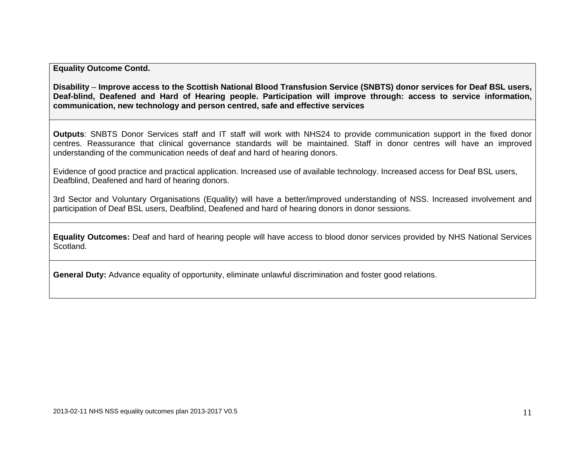**Equality Outcome Contd.** 

**Disability** – **Improve access to the Scottish National Blood Transfusion Service (SNBTS) donor services for Deaf BSL users, Deaf-blind, Deafened and Hard of Hearing people. Participation will improve through: access to service information, communication, new technology and person centred, safe and effective services**

**Outputs**: SNBTS Donor Services staff and IT staff will work with NHS24 to provide communication support in the fixed donor centres. Reassurance that clinical governance standards will be maintained. Staff in donor centres will have an improved understanding of the communication needs of deaf and hard of hearing donors.

Evidence of good practice and practical application. Increased use of available technology. Increased access for Deaf BSL users, Deafblind, Deafened and hard of hearing donors.

3rd Sector and Voluntary Organisations (Equality) will have a better/improved understanding of NSS. Increased involvement and participation of Deaf BSL users, Deafblind, Deafened and hard of hearing donors in donor sessions.

**Equality Outcomes:** Deaf and hard of hearing people will have access to blood donor services provided by NHS National Services Scotland.

**General Duty:** Advance equality of opportunity, eliminate unlawful discrimination and foster good relations.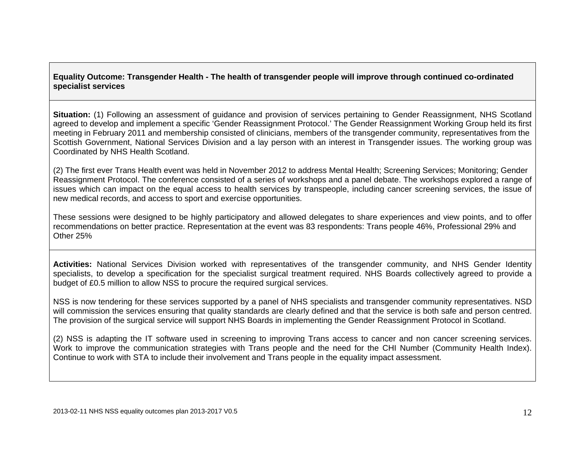#### **Equality Outcome: Transgender Health - The health of transgender people will improve through continued co-ordinated specialist services**

**Situation:** (1) Following an assessment of guidance and provision of services pertaining to Gender Reassignment, NHS Scotland agreed to develop and implement a specific 'Gender Reassignment Protocol.' The Gender Reassignment Working Group held its first meeting in February 2011 and membership consisted of clinicians, members of the transgender community, representatives from the Scottish Government, National Services Division and a lay person with an interest in Transgender issues. The working group was Coordinated by NHS Health Scotland.

(2) The first ever Trans Health event was held in November 2012 to address Mental Health; Screening Services; Monitoring; Gender Reassignment Protocol. The conference consisted of a series of workshops and a panel debate. The workshops explored a range of issues which can impact on the equal access to health services by transpeople, including cancer screening services, the issue of new medical records, and access to sport and exercise opportunities.

These sessions were designed to be highly participatory and allowed delegates to share experiences and view points, and to offer recommendations on better practice. Representation at the event was 83 respondents: Trans people 46%, Professional 29% and Other 25%

**Activities:** National Services Division worked with representatives of the transgender community, and NHS Gender Identity specialists, to develop a specification for the specialist surgical treatment required. NHS Boards collectively agreed to provide a budget of £0.5 million to allow NSS to procure the required surgical services.

NSS is now tendering for these services supported by a panel of NHS specialists and transgender community representatives. NSD will commission the services ensuring that quality standards are clearly defined and that the service is both safe and person centred. The provision of the surgical service will support NHS Boards in implementing the Gender Reassignment Protocol in Scotland.

(2) NSS is adapting the IT software used in screening to improving Trans access to cancer and non cancer screening services. Work to improve the communication strategies with Trans people and the need for the CHI Number (Community Health Index). Continue to work with STA to include their involvement and Trans people in the equality impact assessment.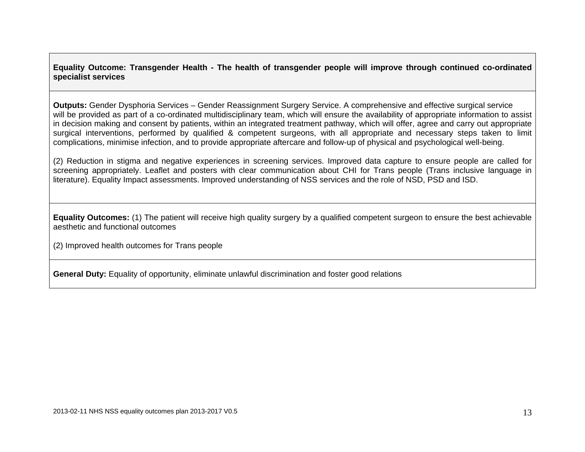**Equality Outcome: Transgender Health - The health of transgender people will improve through continued co-ordinated specialist services** 

**Outputs:** Gender Dysphoria Services – Gender Reassignment Surgery Service. A comprehensive and effective surgical service will be provided as part of a co-ordinated multidisciplinary team, which will ensure the availability of appropriate information to assist in decision making and consent by patients, within an integrated treatment pathway, which will offer, agree and carry out appropriate surgical interventions, performed by qualified & competent surgeons, with all appropriate and necessary steps taken to limit complications, minimise infection, and to provide appropriate aftercare and follow-up of physical and psychological well-being.

(2) Reduction in stigma and negative experiences in screening services. Improved data capture to ensure people are called for screening appropriately. Leaflet and posters with clear communication about CHI for Trans people (Trans inclusive language in literature). Equality Impact assessments. Improved understanding of NSS services and the role of NSD, PSD and ISD.

**Equality Outcomes:** (1) The patient will receive high quality surgery by a qualified competent surgeon to ensure the best achievable aesthetic and functional outcomes

(2) Improved health outcomes for Trans people

**General Duty:** Equality of opportunity, eliminate unlawful discrimination and foster good relations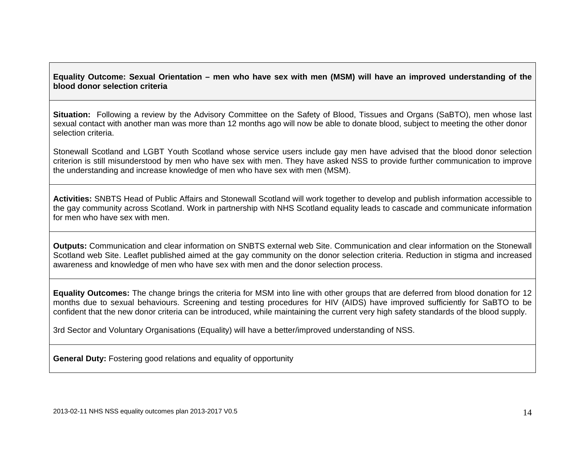#### **Equality Outcome: Sexual Orientation – men who have sex with men (MSM) will have an improved understanding of the blood donor selection criteria**

**Situation:** Following a review by the Advisory Committee on the Safety of Blood, Tissues and Organs (SaBTO), men whose last sexual contact with another man was more than 12 months ago will now be able to donate blood, subject to meeting the other donor selection criteria.

Stonewall Scotland and LGBT Youth Scotland whose service users include gay men have advised that the blood donor selection criterion is still misunderstood by men who have sex with men. They have asked NSS to provide further communication to improve the understanding and increase knowledge of men who have sex with men (MSM).

**Activities:** SNBTS Head of Public Affairs and Stonewall Scotland will work together to develop and publish information accessible to the gay community across Scotland. Work in partnership with NHS Scotland equality leads to cascade and communicate information for men who have sex with men.

**Outputs:** Communication and clear information on SNBTS external web Site. Communication and clear information on the Stonewall Scotland web Site. Leaflet published aimed at the gay community on the donor selection criteria. Reduction in stigma and increased awareness and knowledge of men who have sex with men and the donor selection process.

**Equality Outcomes:** The change brings the criteria for MSM into line with other groups that are deferred from blood donation for 12 months due to sexual behaviours. Screening and testing procedures for HIV (AIDS) have improved sufficiently for SaBTO to be confident that the new donor criteria can be introduced, while maintaining the current very high safety standards of the blood supply.

3rd Sector and Voluntary Organisations (Equality) will have a better/improved understanding of NSS.

**General Duty:** Fostering good relations and equality of opportunity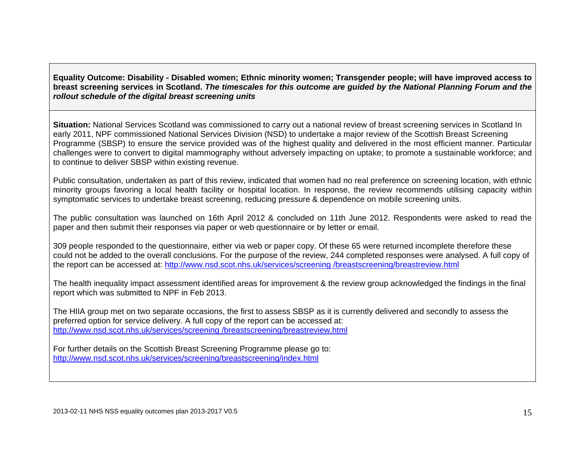**Equality Outcome: Disability - Disabled women; Ethnic minority women; Transgender people; will have improved access to breast screening services in Scotland.** *The timescales for this outcome are guided by the National Planning Forum and the rollout schedule of the digital breast screening units* 

**Situation:** National Services Scotland was commissioned to carry out a national review of breast screening services in Scotland In early 2011, NPF commissioned National Services Division (NSD) to undertake a major review of the Scottish Breast Screening Programme (SBSP) to ensure the service provided was of the highest quality and delivered in the most efficient manner. Particular challenges were to convert to digital mammography without adversely impacting on uptake; to promote a sustainable workforce; and to continue to deliver SBSP within existing revenue.

Public consultation, undertaken as part of this review, indicated that women had no real preference on screening location, with ethnic minority groups favoring a local health facility or hospital location. In response, the review recommends utilising capacity within symptomatic services to undertake breast screening, reducing pressure & dependence on mobile screening units.

The public consultation was launched on 16th April 2012 & concluded on 11th June 2012. Respondents were asked to read the paper and then submit their responses via paper or web questionnaire or by letter or email.

309 people responded to the questionnaire, either via web or paper copy. Of these 65 were returned incomplete therefore these could not be added to the overall conclusions. For the purpose of the review, 244 completed responses were analysed. A full copy of the report can be accessed at: http://www.nsd.scot.nhs.uk/services/screening /breastscreening/breastreview.html

The health inequality impact assessment identified areas for improvement & the review group acknowledged the findings in the final report which was submitted to NPF in Feb 2013.

The HIIA group met on two separate occasions, the first to assess SBSP as it is currently delivered and secondly to assess the preferred option for service delivery. A full copy of the report can be accessed at: http://www.nsd.scot.nhs.uk/services/screening /breastscreening/breastreview.html

For further details on the Scottish Breast Screening Programme please go to: http://www.nsd.scot.nhs.uk/services/screening/breastscreening/index.html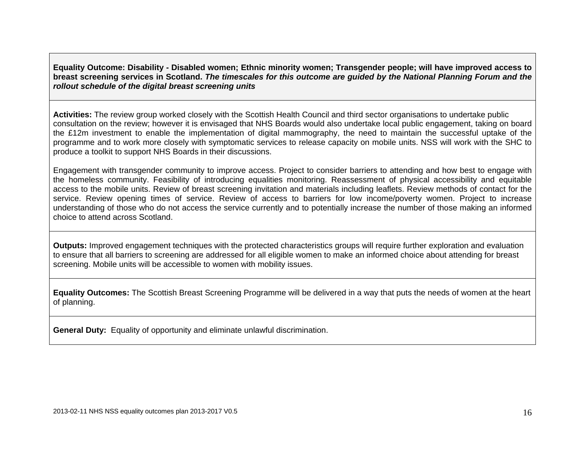**Equality Outcome: Disability - Disabled women; Ethnic minority women; Transgender people; will have improved access to breast screening services in Scotland.** *The timescales for this outcome are guided by the National Planning Forum and the rollout schedule of the digital breast screening units* 

**Activities:** The review group worked closely with the Scottish Health Council and third sector organisations to undertake public consultation on the review; however it is envisaged that NHS Boards would also undertake local public engagement, taking on board the £12m investment to enable the implementation of digital mammography, the need to maintain the successful uptake of the programme and to work more closely with symptomatic services to release capacity on mobile units. NSS will work with the SHC to produce a toolkit to support NHS Boards in their discussions.

Engagement with transgender community to improve access. Project to consider barriers to attending and how best to engage with the homeless community. Feasibility of introducing equalities monitoring. Reassessment of physical accessibility and equitable access to the mobile units. Review of breast screening invitation and materials including leaflets. Review methods of contact for the service. Review opening times of service. Review of access to barriers for low income/poverty women. Project to increase understanding of those who do not access the service currently and to potentially increase the number of those making an informed choice to attend across Scotland.

**Outputs:** Improved engagement techniques with the protected characteristics groups will require further exploration and evaluation to ensure that all barriers to screening are addressed for all eligible women to make an informed choice about attending for breast screening. Mobile units will be accessible to women with mobility issues.

**Equality Outcomes:** The Scottish Breast Screening Programme will be delivered in a way that puts the needs of women at the heart of planning.

**General Duty:** Equality of opportunity and eliminate unlawful discrimination.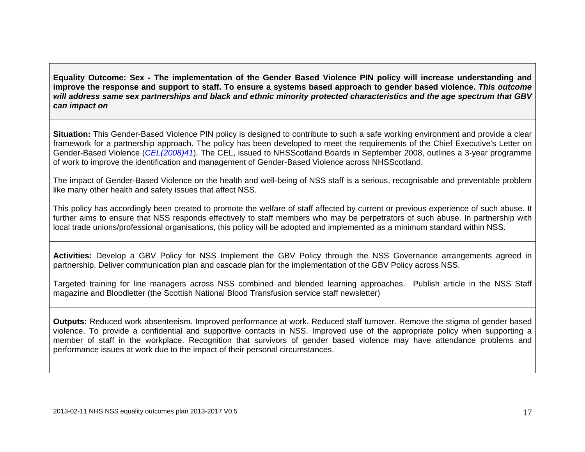**Equality Outcome: Sex - The implementation of the Gender Based Violence PIN policy will increase understanding and improve the response and support to staff. To ensure a systems based approach to gender based violence.** *This outcome will address same sex partnerships and black and ethnic minority protected characteristics and the age spectrum that GBV can impact on* 

**Situation:** This Gender-Based Violence PIN policy is designed to contribute to such a safe working environment and provide a clear framework for a partnership approach. The policy has been developed to meet the requirements of the Chief Executive's Letter on Gender-Based Violence (*CEL(2008)41*). The CEL, issued to NHSScotland Boards in September 2008, outlines a 3-year programme of work to improve the identification and management of Gender-Based Violence across NHSScotland.

The impact of Gender-Based Violence on the health and well-being of NSS staff is a serious, recognisable and preventable problem like many other health and safety issues that affect NSS.

This policy has accordingly been created to promote the welfare of staff affected by current or previous experience of such abuse. It further aims to ensure that NSS responds effectively to staff members who may be perpetrators of such abuse. In partnership with local trade unions/professional organisations, this policy will be adopted and implemented as a minimum standard within NSS.

**Activities:** Develop a GBV Policy for NSS Implement the GBV Policy through the NSS Governance arrangements agreed in partnership. Deliver communication plan and cascade plan for the implementation of the GBV Policy across NSS.

Targeted training for line managers across NSS combined and blended learning approaches. Publish article in the NSS Staff magazine and Bloodletter (the Scottish National Blood Transfusion service staff newsletter)

**Outputs:** Reduced work absenteeism. Improved performance at work. Reduced staff turnover. Remove the stigma of gender based violence. To provide a confidential and supportive contacts in NSS. Improved use of the appropriate policy when supporting a member of staff in the workplace. Recognition that survivors of gender based violence may have attendance problems and performance issues at work due to the impact of their personal circumstances.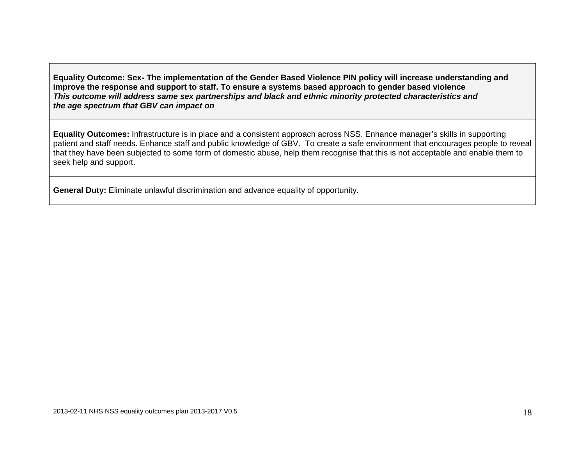**Equality Outcome: Sex- The implementation of the Gender Based Violence PIN policy will increase understanding and improve the response and support to staff. To ensure a systems based approach to gender based violence**  *This outcome will address same sex partnerships and black and ethnic minority protected characteristics and the age spectrum that GBV can impact on* 

**Equality Outcomes:** Infrastructure is in place and a consistent approach across NSS. Enhance manager's skills in supporting patient and staff needs. Enhance staff and public knowledge of GBV. To create a safe environment that encourages people to reveal that they have been subjected to some form of domestic abuse, help them recognise that this is not acceptable and enable them to seek help and support.

**General Duty:** Eliminate unlawful discrimination and advance equality of opportunity.